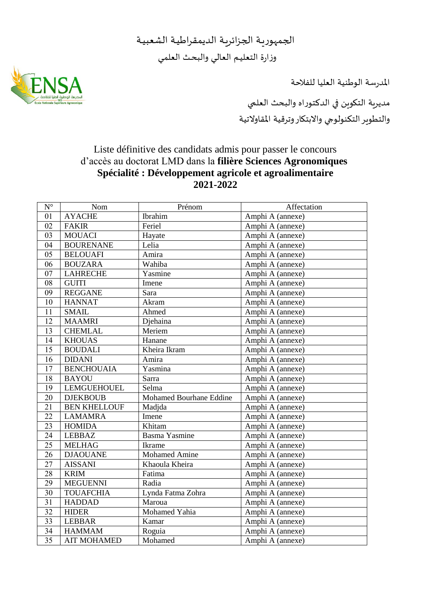الجمهوريـة الجزائريـة الديمقراطيـة الشعبيـة وزارة التعليـم العالـي والبحـث العلمـي

املدرسة الوطنية العليا للفالحة



مديرية التكوين في الدكتوراه والبحث العلمي والتطوير التكنولوجي واالبتكار وترقية املقاوالتية

## Liste définitive des candidats admis pour passer le concours d'accès au doctorat LMD dans la **filière Sciences Agronomiques Spécialité : Développement agricole et agroalimentaire 2021-2022**

| $\mathbf{N}^\circ$ | Nom                 | Prénom                  | Affectation      |
|--------------------|---------------------|-------------------------|------------------|
| 01                 | <b>AYACHE</b>       | Ibrahim                 | Amphi A (annexe) |
| 02                 | <b>FAKIR</b>        | Feriel                  | Amphi A (annexe) |
| 03                 | <b>MOUACI</b>       | Hayate                  | Amphi A (annexe) |
| 04                 | <b>BOURENANE</b>    | Lelia                   | Amphi A (annexe) |
| 05                 | <b>BELOUAFI</b>     | Amira                   | Amphi A (annexe) |
| 06                 | <b>BOUZARA</b>      | Wahiba                  | Amphi A (annexe) |
| 07                 | <b>LAHRECHE</b>     | Yasmine                 | Amphi A (annexe) |
| 08                 | <b>GUITI</b>        | Imene                   | Amphi A (annexe) |
| 09                 | <b>REGGANE</b>      | Sara                    | Amphi A (annexe) |
| 10                 | <b>HANNAT</b>       | Akram                   | Amphi A (annexe) |
| 11                 | <b>SMAIL</b>        | Ahmed                   | Amphi A (annexe) |
| 12                 | <b>MAAMRI</b>       | Djehaina                | Amphi A (annexe) |
| 13                 | <b>CHEMLAL</b>      | Meriem                  | Amphi A (annexe) |
| 14                 | <b>KHOUAS</b>       | Hanane                  | Amphi A (annexe) |
| 15                 | <b>BOUDALI</b>      | Kheira Ikram            | Amphi A (annexe) |
| 16                 | <b>DIDANI</b>       | Amira                   | Amphi A (annexe) |
| 17                 | <b>BENCHOUAIA</b>   | $\overline{Y}$ asmina   | Amphi A (annexe) |
| 18                 | <b>BAYOU</b>        | Sarra                   | Amphi A (annexe) |
| 19                 | <b>LEMGUEHOUEL</b>  | Selma                   | Amphi A (annexe) |
| 20                 | <b>DJEKBOUB</b>     | Mohamed Bourhane Eddine | Amphi A (annexe) |
| 21                 | <b>BEN KHELLOUF</b> | Madjda                  | Amphi A (annexe) |
| 22                 | <b>LAMAMRA</b>      | Imene                   | Amphi A (annexe) |
| 23                 | <b>HOMIDA</b>       | Khitam                  | Amphi A (annexe) |
| 24                 | LEBBAZ              | <b>Basma Yasmine</b>    | Amphi A (annexe) |
| 25                 | <b>MELHAG</b>       | Ikrame                  | Amphi A (annexe) |
| 26                 | <b>DJAOUANE</b>     | <b>Mohamed Amine</b>    | Amphi A (annexe) |
| 27                 | <b>AISSANI</b>      | Khaoula Kheira          | Amphi A (annexe) |
| 28                 | <b>KRIM</b>         | Fatima                  | Amphi A (annexe) |
| 29                 | <b>MEGUENNI</b>     | Radia                   | Amphi A (annexe) |
| 30                 | <b>TOUAFCHIA</b>    | Lynda Fatma Zohra       | Amphi A (annexe) |
| $\overline{31}$    | <b>HADDAD</b>       | Maroua                  | Amphi A (annexe) |
| 32                 | <b>HIDER</b>        | Mohamed Yahia           | Amphi A (annexe) |
| $\overline{33}$    | <b>LEBBAR</b>       | Kamar                   | Amphi A (annexe) |
| 34                 | <b>HAMMAM</b>       | Roguia                  | Amphi A (annexe) |
| 35                 | <b>AIT MOHAMED</b>  | Mohamed                 | Amphi A (annexe) |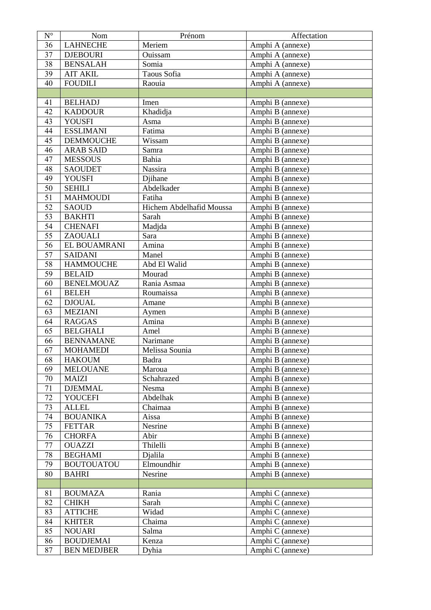| $\mathbf{N}^{\circ}$ | Nom                | Prénom                   | Affectation      |
|----------------------|--------------------|--------------------------|------------------|
| 36                   | <b>LAHNECHE</b>    | Meriem                   | Amphi A (annexe) |
| 37                   | <b>DJEBOURI</b>    | Ouissam                  | Amphi A (annexe) |
| 38                   | <b>BENSALAH</b>    | Somia                    | Amphi A (annexe) |
| 39                   | <b>AIT AKIL</b>    | Taous Sofia              | Amphi A (annexe) |
| 40                   | <b>FOUDILI</b>     | Raouia                   | Amphi A (annexe) |
|                      |                    |                          |                  |
| 41                   | <b>BELHADJ</b>     | Imen                     | Amphi B (annexe) |
| 42                   | <b>KADDOUR</b>     | Khadidja                 | Amphi B (annexe) |
| 43                   | <b>YOUSFI</b>      | Asma                     | Amphi B (annexe) |
| 44                   | <b>ESSLIMANI</b>   | Fatima                   | Amphi B (annexe) |
| 45                   | <b>DEMMOUCHE</b>   | Wissam                   | Amphi B (annexe) |
| 46                   | <b>ARAB SAID</b>   | Samra                    | Amphi B (annexe) |
| 47                   | <b>MESSOUS</b>     | Bahia                    | Amphi B (annexe) |
| 48                   | <b>SAOUDET</b>     | Nassira                  | Amphi B (annexe) |
| 49                   | <b>YOUSFI</b>      | Djihane                  | Amphi B (annexe) |
| $\overline{50}$      | <b>SEHILI</b>      | Abdelkader               | Amphi B (annexe) |
| 51                   | <b>MAHMOUDI</b>    | Fatiha                   | Amphi B (annexe) |
| 52                   | <b>SAOUD</b>       | Hichem Abdelhafid Moussa | Amphi B (annexe) |
| $\overline{53}$      | <b>BAKHTI</b>      | Sarah                    | Amphi B (annexe) |
| 54                   | <b>CHENAFI</b>     | Madjda                   | Amphi B (annexe) |
| $\overline{55}$      | <b>ZAOUALI</b>     | Sara                     | Amphi B (annexe) |
| $\overline{56}$      | EL BOUAMRANI       | Amina                    | Amphi B (annexe) |
| 57                   | <b>SAIDANI</b>     | Manel                    | Amphi B (annexe) |
| 58                   | <b>HAMMOUCHE</b>   | Abd El Walid             | Amphi B (annexe) |
| $\overline{59}$      | <b>BELAID</b>      | Mourad                   | Amphi B (annexe) |
| 60                   | <b>BENELMOUAZ</b>  | Rania Asmaa              | Amphi B (annexe) |
| 61                   | <b>BELEH</b>       | Roumaissa                | Amphi B (annexe) |
| 62                   | <b>DJOUAL</b>      | Amane                    | Amphi B (annexe) |
| 63                   | <b>MEZIANI</b>     | Aymen                    | Amphi B (annexe) |
| 64                   | <b>RAGGAS</b>      | Amina                    | Amphi B (annexe) |
| 65                   | <b>BELGHALI</b>    | Amel                     | Amphi B (annexe) |
| 66                   | <b>BENNAMANE</b>   | Narimane                 | Amphi B (annexe) |
| 67                   | <b>MOHAMEDI</b>    | Melissa Sounia           | Amphi B (annexe) |
| 68                   | <b>HAKOUM</b>      | Badra                    | Amphi B (annexe) |
| 69                   | <b>MELOUANE</b>    | Maroua                   | Amphi B (annexe) |
| 70                   | <b>MAIZI</b>       | Schahrazed               | Amphi B (annexe) |
| 71                   | <b>DJEMMAL</b>     | Nesma                    | Amphi B (annexe) |
| 72                   | <b>YOUCEFI</b>     | Abdelhak                 | Amphi B (annexe) |
| 73                   | <b>ALLEL</b>       | Chaimaa                  | Amphi B (annexe) |
| 74                   | <b>BOUANIKA</b>    | Aissa                    | Amphi B (annexe) |
| 75                   | <b>FETTAR</b>      | Nesrine                  | Amphi B (annexe) |
| 76                   | <b>CHORFA</b>      | Abir                     | Amphi B (annexe) |
| 77                   | <b>OUAZZI</b>      | Thilelli                 | Amphi B (annexe) |
| 78                   | <b>BEGHAMI</b>     | Dialila                  | Amphi B (annexe) |
| 79                   | <b>BOUTOUATOU</b>  | Elmoundhir               | Amphi B (annexe) |
| 80                   | <b>BAHRI</b>       | Nesrine                  | Amphi B (annexe) |
|                      |                    |                          |                  |
| 81                   | <b>BOUMAZA</b>     | Rania                    | Amphi C (annexe) |
| 82                   | <b>CHIKH</b>       | Sarah                    | Amphi C (annexe) |
| 83                   | <b>ATTICHE</b>     | Widad                    | Amphi C (annexe) |
| 84                   | <b>KHITER</b>      | Chaima                   | Amphi C (annexe) |
| 85                   | <b>NOUARI</b>      | Salma                    | Amphi C (annexe) |
| 86                   | <b>BOUDJEMAI</b>   | Kenza                    | Amphi C (annexe) |
| 87                   | <b>BEN MEDJBER</b> | Dyhia                    | Amphi C (annexe) |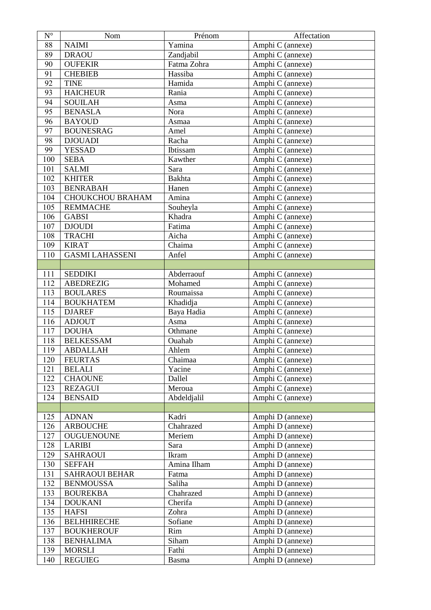| $N^{\circ}$ | Nom                     | Prénom        | Affectation      |
|-------------|-------------------------|---------------|------------------|
| 88          | <b>NAIMI</b>            | Yamina        | Amphi C (annexe) |
| 89          | <b>DRAOU</b>            | Zandjabil     | Amphi C (annexe) |
| 90          | <b>OUFEKIR</b>          | Fatma Zohra   | Amphi C (annexe) |
| 91          | <b>CHEBIEB</b>          | Hassiba       | Amphi C (annexe) |
| 92          | <b>TINE</b>             | Hamida        | Amphi C (annexe) |
| 93          | <b>HAICHEUR</b>         | Rania         | Amphi C (annexe) |
| 94          | <b>SOUILAH</b>          | Asma          | Amphi C (annexe) |
| 95          | <b>BENASLA</b>          | Nora          | Amphi C (annexe) |
| 96          | <b>BAYOUD</b>           | Asmaa         | Amphi C (annexe) |
| 97          | <b>BOUNESRAG</b>        | Amel          | Amphi C (annexe) |
| 98          | <b>DJOUADI</b>          | Racha         | Amphi C (annexe) |
| 99          | <b>YESSAD</b>           | Ibtissam      | Amphi C (annexe) |
| 100         | <b>SEBA</b>             | Kawther       | Amphi C (annexe) |
| 101         | <b>SALMI</b>            | Sara          | Amphi C (annexe) |
| 102         | <b>KHITER</b>           | <b>Bakhta</b> | Amphi C (annexe) |
| 103         | <b>BENRABAH</b>         | Hanen         | Amphi C (annexe) |
| 104         | <b>CHOUKCHOU BRAHAM</b> | Amina         | Amphi C (annexe) |
| 105         | <b>REMMACHE</b>         | Souheyla      | Amphi C (annexe) |
| 106         | <b>GABSI</b>            | Khadra        | Amphi C (annexe) |
| 107         | <b>DJOUDI</b>           | Fatima        | Amphi C (annexe) |
| 108         | <b>TRACHI</b>           | Aicha         | Amphi C (annexe) |
| 109         | <b>KIRAT</b>            | Chaima        | Amphi C (annexe) |
| 110         | <b>GASMI LAHASSENI</b>  | Anfel         | Amphi C (annexe) |
|             |                         |               |                  |
| 111         | <b>SEDDIKI</b>          | Abderraouf    | Amphi C (annexe) |
| 112         | <b>ABEDREZIG</b>        | Mohamed       | Amphi C (annexe) |
| 113         | <b>BOULARES</b>         | Roumaissa     | Amphi C (annexe) |
| 114         | <b>BOUKHATEM</b>        | Khadidja      | Amphi C (annexe) |
| 115         | <b>DJAREF</b>           | Baya Hadia    | Amphi C (annexe) |
| 116         | <b>ADJOUT</b>           | Asma          | Amphi C (annexe) |
| 117         | <b>DOUHA</b>            | Othmane       | Amphi C (annexe) |
| 118         | <b>BELKESSAM</b>        | Ouahab        | Amphi C (annexe) |
| 119         | <b>ABDALLAH</b>         | Ahlem         | Amphi C (annexe) |
| 120         | <b>FEURTAS</b>          | Chaimaa       | Amphi C (annexe) |
| 121         | <b>BELALI</b>           | Yacine        | Amphi C (annexe) |
| 122         | <b>CHAOUNE</b>          | Dallel        | Amphi C (annexe) |
| 123         | <b>REZAGUI</b>          | Meroua        | Amphi C (annexe) |
| 124         | <b>BENSAID</b>          | Abdeldjalil   | Amphi C (annexe) |
|             |                         |               |                  |
| 125         | <b>ADNAN</b>            | Kadri         | Amphi D (annexe) |
| 126         | <b>ARBOUCHE</b>         | Chahrazed     | Amphi D (annexe) |
| 127         | <b>OUGUENOUNE</b>       | Meriem        | Amphi D (annexe) |
| 128         | <b>LARIBI</b>           | Sara          | Amphi D (annexe) |
| 129         | <b>SAHRAOUI</b>         | Ikram         | Amphi D (annexe) |
| 130         | <b>SEFFAH</b>           | Amina Ilham   | Amphi D (annexe) |
| 131         | <b>SAHRAOUI BEHAR</b>   | Fatma         | Amphi D (annexe) |
| 132         | <b>BENMOUSSA</b>        | Saliha        | Amphi D (annexe) |
| 133         | <b>BOUREKBA</b>         | Chahrazed     | Amphi D (annexe) |
| 134         | <b>DOUKANI</b>          | Cherifa       | Amphi D (annexe) |
| 135         | <b>HAFSI</b>            | Zohra         | Amphi D (annexe) |
| 136         | <b>BELHHIRECHE</b>      | Sofiane       | Amphi D (annexe) |
| 137         | <b>BOUKHEROUF</b>       | Rim           | Amphi D (annexe) |
| 138         | <b>BENHALIMA</b>        | Siham         | Amphi D (annexe) |
| 139         | <b>MORSLI</b>           | Fathi         | Amphi D (annexe) |
| 140         | <b>REGUIEG</b>          | <b>Basma</b>  | Amphi D (annexe) |